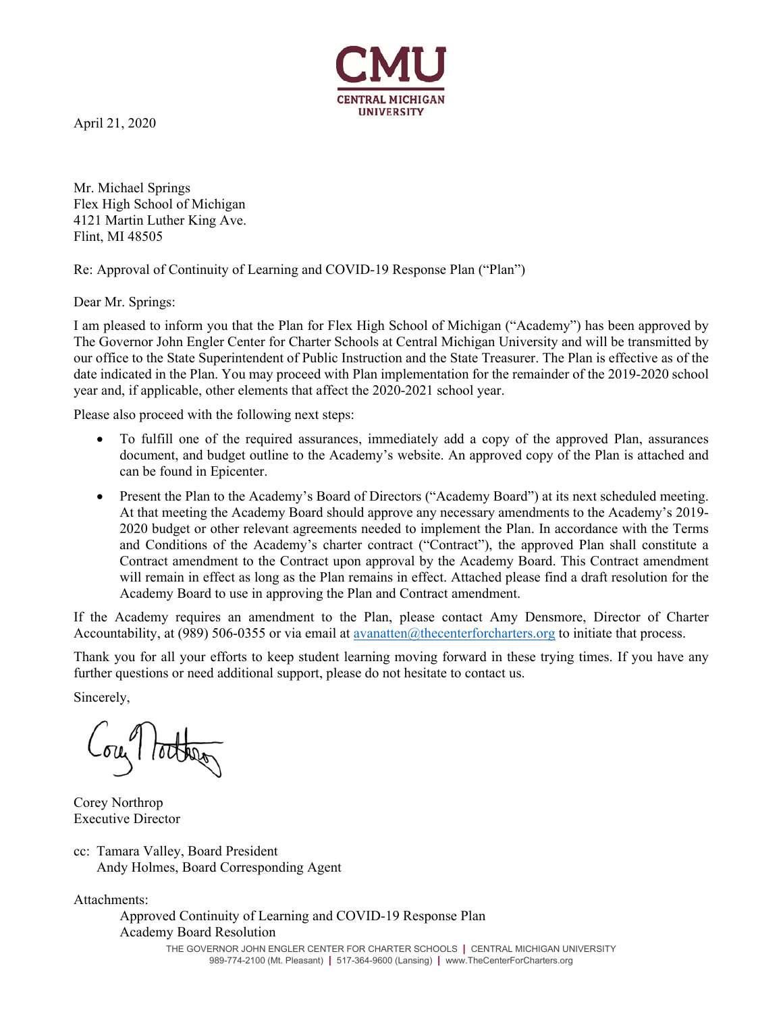

April 21, 2020

Mr. Michael Springs Flex High School of Michigan 4121 Martin Luther King Ave. Flint, MI 48505

Re: Approval of Continuity of Learning and COVID-19 Response Plan ("Plan")

Dear Mr. Springs:

I am pleased to inform you that the Plan for Flex High School of Michigan ("Academy") has been approved by The Governor John Engler Center for Charter Schools at Central Michigan University and will be transmitted by our office to the State Superintendent of Public Instruction and the State Treasurer. The Plan is effective as of the date indicated in the Plan. You may proceed with Plan implementation for the remainder of the 2019-2020 school year and, if applicable, other elements that affect the 2020-2021 school year.

Please also proceed with the following next steps:

- To fulfill one of the required assurances, immediately add a copy of the approved Plan, assurances document, and budget outline to the Academy's website. An approved copy of the Plan is attached and can be found in Epicenter.
- Present the Plan to the Academy's Board of Directors ("Academy Board") at its next scheduled meeting. At that meeting the Academy Board should approve any necessary amendments to the Academy's 2019- 2020 budget or other relevant agreements needed to implement the Plan. In accordance with the Terms and Conditions of the Academy's charter contract ("Contract"), the approved Plan shall constitute a Contract amendment to the Contract upon approval by the Academy Board. This Contract amendment will remain in effect as long as the Plan remains in effect. Attached please find a draft resolution for the Academy Board to use in approving the Plan and Contract amendment.

If the Academy requires an amendment to the Plan, please contact Amy Densmore, Director of Charter Accountability, at (989) 506-0355 or via email at avanatten@thecenterforcharters.org to initiate that process.

Thank you for all your efforts to keep student learning moving forward in these trying times. If you have any further questions or need additional support, please do not hesitate to contact us.

Sincerely,

ou tother

Corey Northrop Executive Director

cc: Tamara Valley, Board President Andy Holmes, Board Corresponding Agent

Attachments:

THE GOVERNOR JOHN ENGLER CENTER FOR CHARTER SCHOOLS **|** CENTRAL MICHIGAN UNIVERSITY Approved Continuity of Learning and COVID-19 Response Plan Academy Board Resolution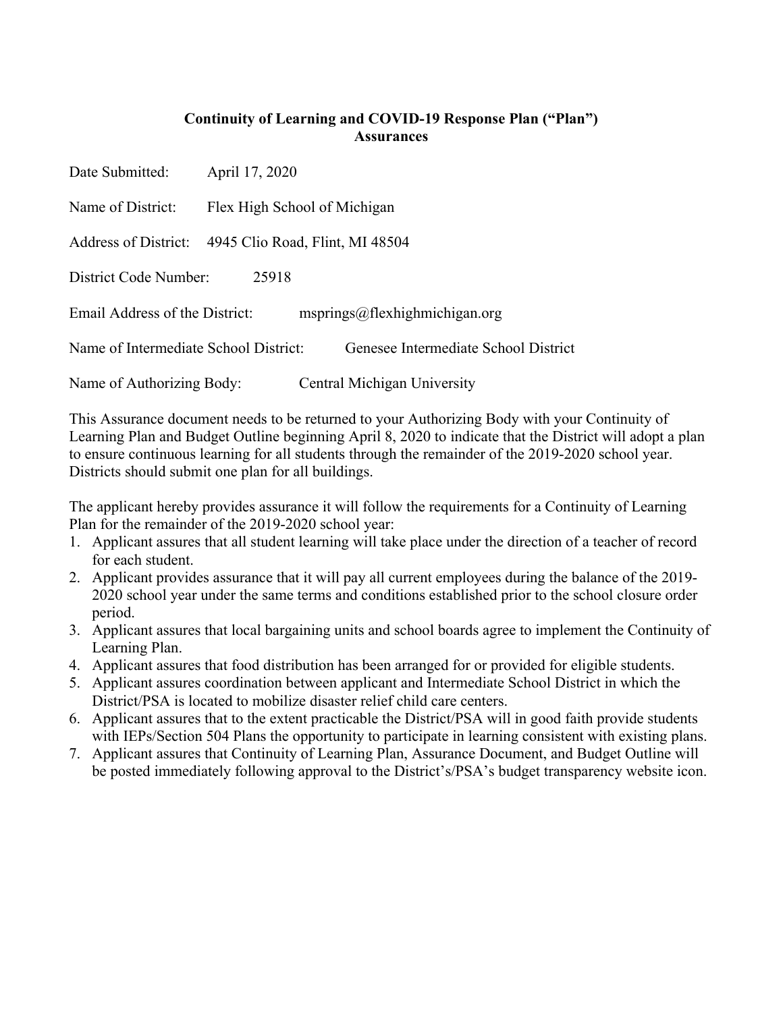#### **Continuity of Learning and COVID-19 Response Plan ("Plan") Assurances**

Date Submitted: April 17, 2020

Name of District: Flex High School of Michigan

Address of District: 4945 Clio Road, Flint, MI 48504

District Code Number: 25918

Email Address of the District: msprings@flexhighmichigan.org

Name of Intermediate School District: Genesee Intermediate School District

Name of Authorizing Body: Central Michigan University

This Assurance document needs to be returned to your Authorizing Body with your Continuity of Learning Plan and Budget Outline beginning April 8, 2020 to indicate that the District will adopt a plan to ensure continuous learning for all students through the remainder of the 2019-2020 school year. Districts should submit one plan for all buildings.

The applicant hereby provides assurance it will follow the requirements for a Continuity of Learning Plan for the remainder of the 2019-2020 school year:

- 1. Applicant assures that all student learning will take place under the direction of a teacher of record for each student.
- 2. Applicant provides assurance that it will pay all current employees during the balance of the 2019- 2020 school year under the same terms and conditions established prior to the school closure order period.
- 3. Applicant assures that local bargaining units and school boards agree to implement the Continuity of Learning Plan.
- 4. Applicant assures that food distribution has been arranged for or provided for eligible students.
- 5. Applicant assures coordination between applicant and Intermediate School District in which the District/PSA is located to mobilize disaster relief child care centers.
- 6. Applicant assures that to the extent practicable the District/PSA will in good faith provide students with IEPs/Section 504 Plans the opportunity to participate in learning consistent with existing plans.
- 7. Applicant assures that Continuity of Learning Plan, Assurance Document, and Budget Outline will be posted immediately following approval to the District's/PSA's budget transparency website icon.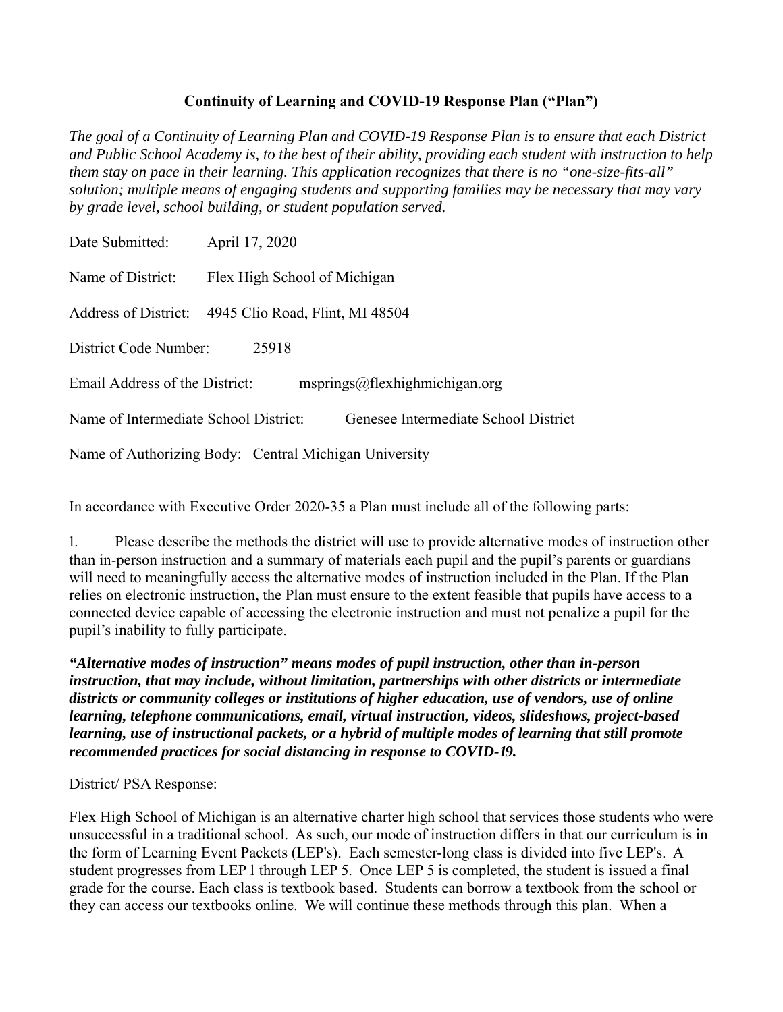#### **Continuity of Learning and COVID-19 Response Plan ("Plan")**

*The goal of a Continuity of Learning Plan and COVID-19 Response Plan is to ensure that each District and Public School Academy is, to the best of their ability, providing each student with instruction to help them stay on pace in their learning. This application recognizes that there is no "one-size-fits-all" solution; multiple means of engaging students and supporting families may be necessary that may vary by grade level, school building, or student population served.*

| Date Submitted:                                                               | April 17, 2020                  |  |
|-------------------------------------------------------------------------------|---------------------------------|--|
| Name of District:                                                             | Flex High School of Michigan    |  |
| <b>Address of District:</b>                                                   | 4945 Clio Road, Flint, MI 48504 |  |
| District Code Number:<br>25918                                                |                                 |  |
| Email Address of the District:<br>msprings@flexhighmichigan.org               |                                 |  |
| Name of Intermediate School District:<br>Genesee Intermediate School District |                                 |  |
| Name of Authorizing Body: Central Michigan University                         |                                 |  |

In accordance with Executive Order 2020-35 a Plan must include all of the following parts:

൫. Please describe the methods the district will use to provide alternative modes of instruction other than in-person instruction and a summary of materials each pupil and the pupil's parents or guardians will need to meaningfully access the alternative modes of instruction included in the Plan. If the Plan relies on electronic instruction, the Plan must ensure to the extent feasible that pupils have access to a connected device capable of accessing the electronic instruction and must not penalize a pupil for the pupil's inability to fully participate.

*"Alternative modes of instruction" means modes of pupil instruction, other than in-person instruction, that may include, without limitation, partnerships with other districts or intermediate districts or community colleges or institutions of higher education, use of vendors, use of online learning, telephone communications, email, virtual instruction, videos, slideshows, project-based learning, use of instructional packets, or a hybrid of multiple modes of learning that still promote recommended practices for social distancing in response to COVID-19.* 

District/ PSA Response:

Flex High School of Michigan is an alternative charter high school that services those students who were unsuccessful in a traditional school. As such, our mode of instruction differs in that our curriculum is in the form of Learning Event Packets (LEP's). Each semester-long class is divided into five LEP's. A student progresses from LEP 1 through LEP 5. Once LEP 5 is completed, the student is issued a final grade for the course. Each class is textbook based. Students can borrow a textbook from the school or they can access our textbooks online. We will continue these methods through this plan. When a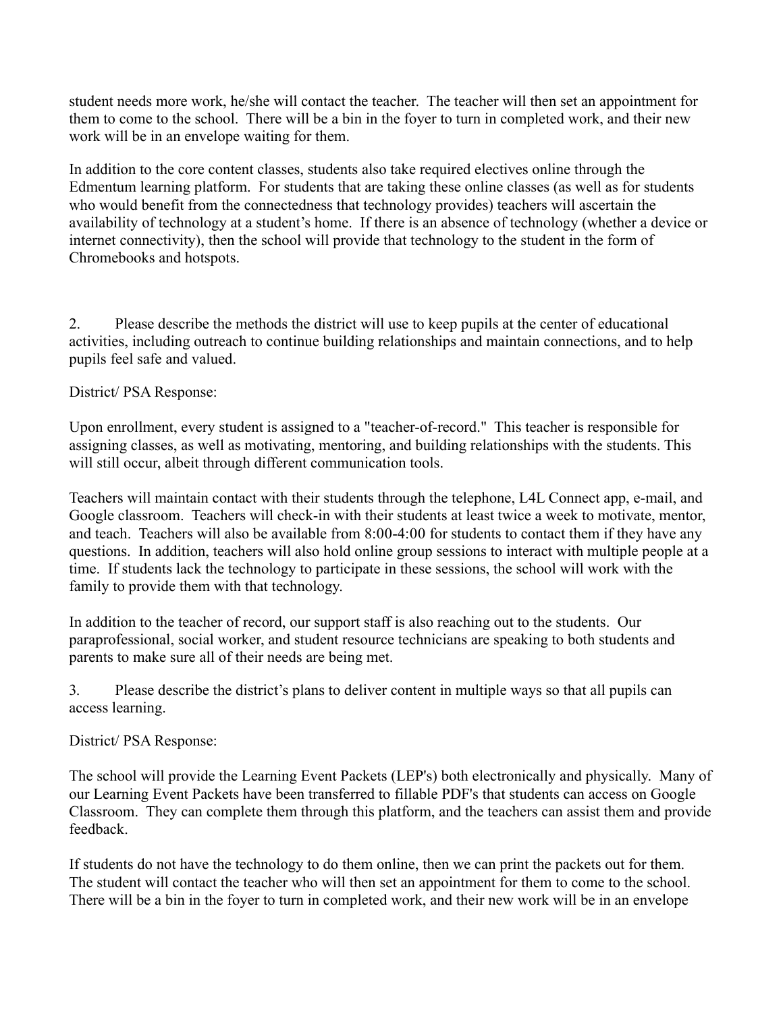student needs more work, he/she will contact the teacher. The teacher will then set an appointment for them to come to the school. There will be a bin in the foyer to turn in completed work, and their new work will be in an envelope waiting for them.

In addition to the core content classes, students also take required electives online through the Edmentum learning platform. For students that are taking these online classes (as well as for students who would benefit from the connectedness that technology provides) teachers will ascertain the availability of technology at a student's home. If there is an absence of technology (whether a device or internet connectivity), then the school will provide that technology to the student in the form of Chromebooks and hotspots.

൬. Please describe the methods the district will use to keep pupils at the center of educational activities, including outreach to continue building relationships and maintain connections, and to help pupils feel safe and valued.

#### District/ PSA Response:

Upon enrollment, every student is assigned to a "teacher-of-record." This teacher is responsible for assigning classes, as well as motivating, mentoring, and building relationships with the students. This will still occur, albeit through different communication tools.

Teachers will maintain contact with their students through the telephone, L4L Connect app, e-mail, and Google classroom. Teachers will check-in with their students at least twice a week to motivate, mentor, and teach. Teachers will also be available from 8:00-4:00 for students to contact them if they have any questions. In addition, teachers will also hold online group sessions to interact with multiple people at a time. If students lack the technology to participate in these sessions, the school will work with the family to provide them with that technology.

In addition to the teacher of record, our support staff is also reaching out to the students. Our paraprofessional, social worker, and student resource technicians are speaking to both students and parents to make sure all of their needs are being met.

൭. Please describe the district's plans to deliver content in multiple ways so that all pupils can access learning.

#### District/ PSA Response:

The school will provide the Learning Event Packets (LEP's) both electronically and physically. Many of our Learning Event Packets have been transferred to fillable PDF's that students can access on Google Classroom. They can complete them through this platform, and the teachers can assist them and provide feedback.

If students do not have the technology to do them online, then we can print the packets out for them. The student will contact the teacher who will then set an appointment for them to come to the school. There will be a bin in the foyer to turn in completed work, and their new work will be in an envelope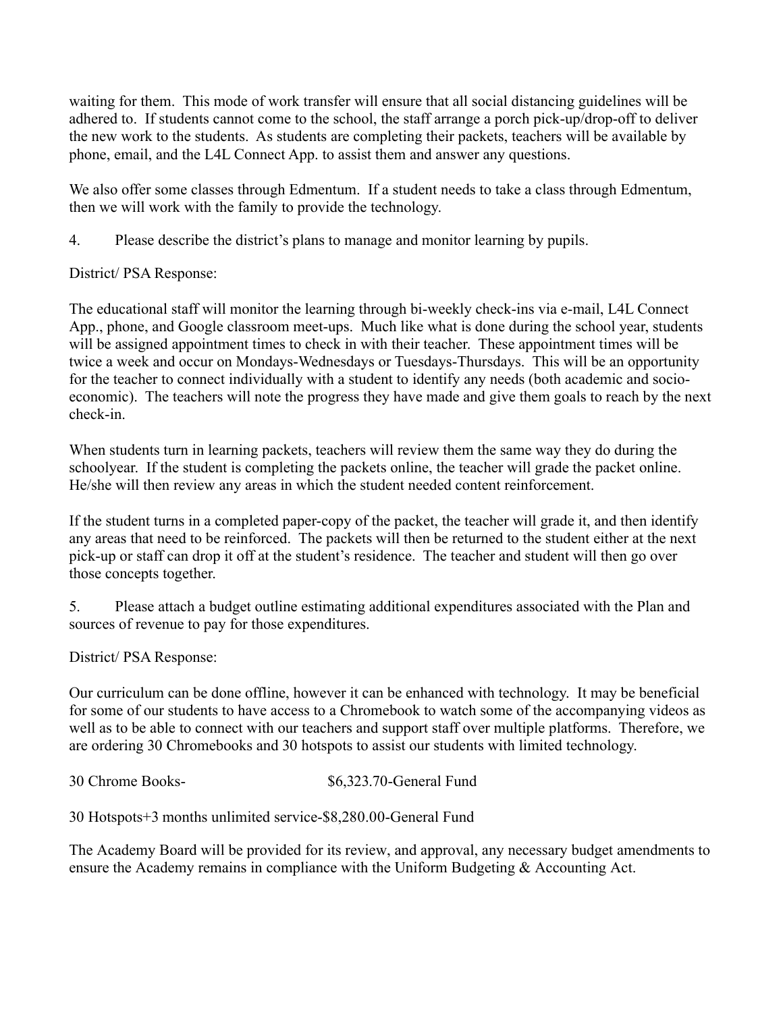waiting for them. This mode of work transfer will ensure that all social distancing guidelines will be adhered to. If students cannot come to the school, the staff arrange a porch pick-up/drop-off to deliver the new work to the students. As students are completing their packets, teachers will be available by phone, email, and the L4L Connect App. to assist them and answer any questions.

We also offer some classes through Edmentum. If a student needs to take a class through Edmentum, then we will work with the family to provide the technology.

൮. Please describe the district's plans to manage and monitor learning by pupils.

District/ PSA Response:

The educational staff will monitor the learning through bi-weekly check-ins via e-mail, L4L Connect App., phone, and Google classroom meet-ups. Much like what is done during the school year, students will be assigned appointment times to check in with their teacher. These appointment times will be twice a week and occur on Mondays-Wednesdays or Tuesdays-Thursdays. This will be an opportunity for the teacher to connect individually with a student to identify any needs (both academic and socioeconomic). The teachers will note the progress they have made and give them goals to reach by the next check-in.

When students turn in learning packets, teachers will review them the same way they do during the schoolyear. If the student is completing the packets online, the teacher will grade the packet online. He/she will then review any areas in which the student needed content reinforcement.

If the student turns in a completed paper-copy of the packet, the teacher will grade it, and then identify any areas that need to be reinforced. The packets will then be returned to the student either at the next pick-up or staff can drop it off at the student's residence. The teacher and student will then go over those concepts together.

൯. Please attach a budget outline estimating additional expenditures associated with the Plan and sources of revenue to pay for those expenditures.

District/ PSA Response:

Our curriculum can be done offline, however it can be enhanced with technology. It may be beneficial for some of our students to have access to a Chromebook to watch some of the accompanying videos as well as to be able to connect with our teachers and support staff over multiple platforms. Therefore, we are ordering 30 Chromebooks and 30 hotspots to assist our students with limited technology.

30 Chrome Books-  $\$6,323.70$ -General Fund

30 Hotspots+3 months unlimited service-\$8,280.00-General Fund

The Academy Board will be provided for its review, and approval, any necessary budget amendments to ensure the Academy remains in compliance with the Uniform Budgeting & Accounting Act.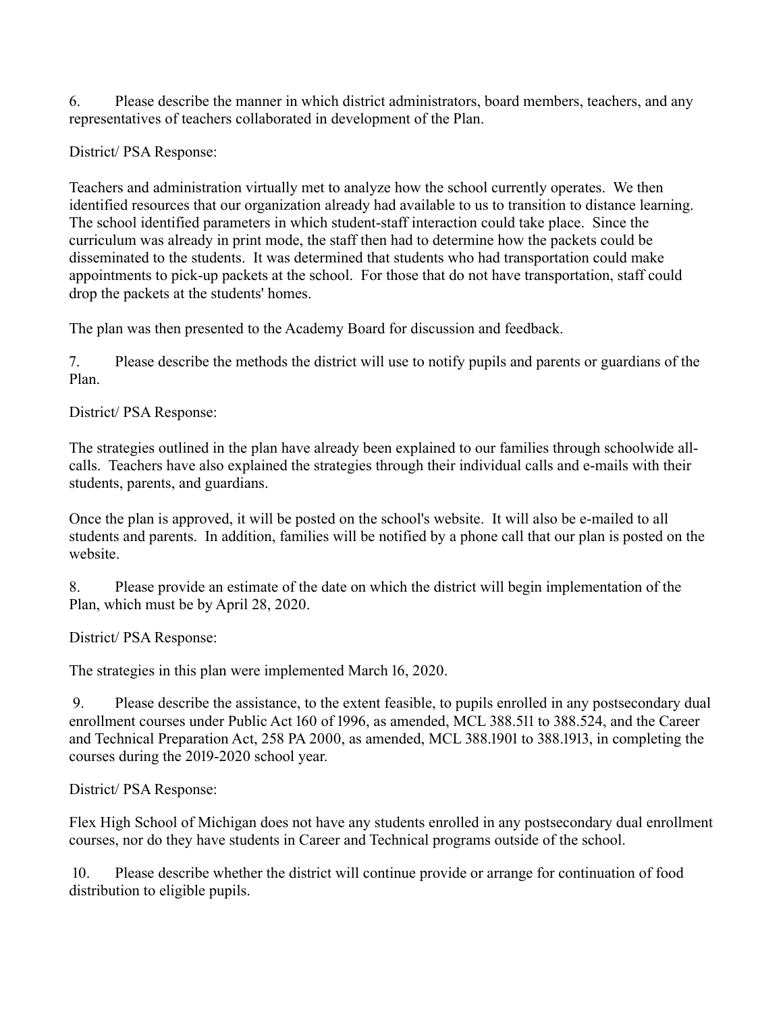൰. Please describe the manner in which district administrators, board members, teachers, and any representatives of teachers collaborated in development of the Plan.

District/ PSA Response:

Teachers and administration virtually met to analyze how the school currently operates. We then identified resources that our organization already had available to us to transition to distance learning. The school identified parameters in which student-staff interaction could take place. Since the curriculum was already in print mode, the staff then had to determine how the packets could be disseminated to the students. It was determined that students who had transportation could make appointments to pick-up packets at the school. For those that do not have transportation, staff could drop the packets at the students' homes.

The plan was then presented to the Academy Board for discussion and feedback.

൱. Please describe the methods the district will use to notify pupils and parents or guardians of the Plan.

District/ PSA Response:

The strategies outlined in the plan have already been explained to our families through schoolwide allcalls. Teachers have also explained the strategies through their individual calls and e-mails with their students, parents, and guardians.

Once the plan is approved, it will be posted on the school's website. It will also be e-mailed to all students and parents. In addition, families will be notified by a phone call that our plan is posted on the website.

൲. Please provide an estimate of the date on which the district will begin implementation of the Plan, which must be by April 28, 2020.

District/ PSA Response:

The strategies in this plan were implemented March 16, 2020.

9. Please describe the assistance, to the extent feasible, to pupils enrolled in any postsecondary dual enrollment courses under Public Act 160 of 1996, as amended, MCL 388.511 to 388.524, and the Career and Technical Preparation Act, 258 PA 2000, as amended, MCL 388.1901 to 388.1913, in completing the courses during the 2019-2020 school year.

District/ PSA Response:

Flex High School of Michigan does not have any students enrolled in any postsecondary dual enrollment courses, nor do they have students in Career and Technical programs outside of the school.

 ൫൪. Please describe whether the district will continue provide or arrange for continuation of food distribution to eligible pupils.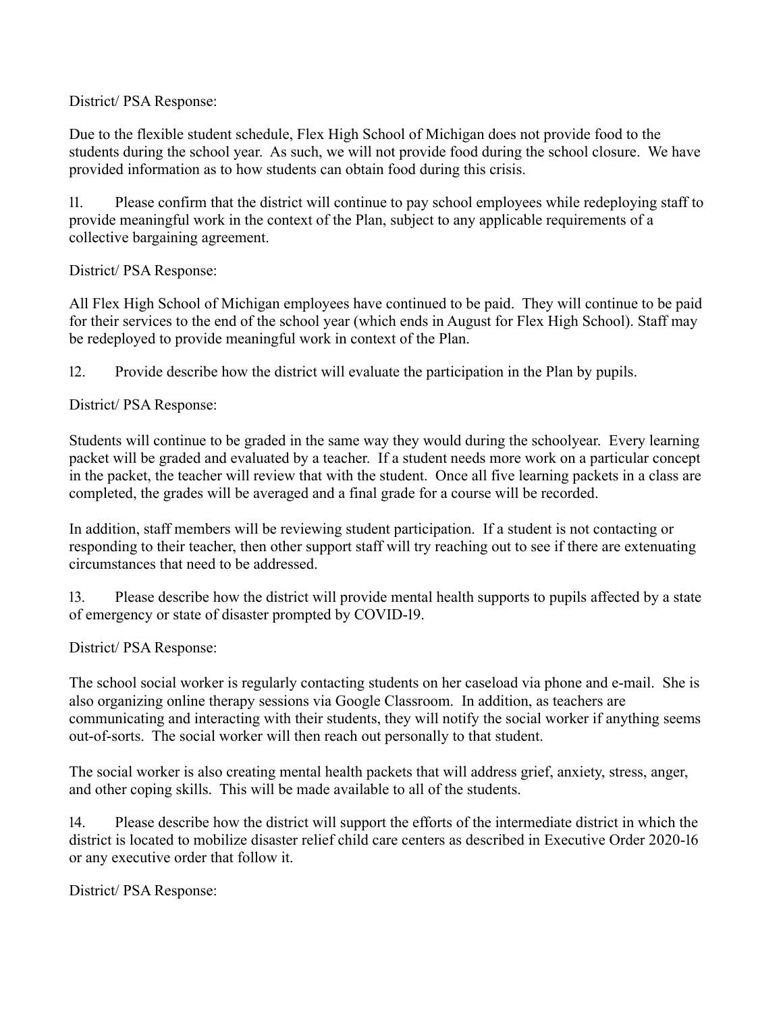District/ PSA Response:

Due to the flexible student schedule, Flex High School of Michigan does not provide food to the students during the school year. As such, we will not provide food during the school closure. We have provided information as to how students can obtain food during this crisis.

11. Please confirm that the district will continue to pay school employees while redeploying staff to provide meaningful work in the context of the Plan, subject to any applicable requirements of a collective bargaining agreement.

District/ PSA Response:

All Flex High School of Michigan employees have continued to be paid. They will continue to be paid for their services to the end of the school year (which ends in August for Flex High School). Staff may be redeployed to provide meaningful work in context of the Plan.

12. Provide describe how the district will evaluate the participation in the Plan by pupils.

District/ PSA Response:

Students will continue to be graded in the same way they would during the schoolyear. Every learning packet will be graded and evaluated by a teacher. If a student needs more work on a particular concept in the packet, the teacher will review that with the student. Once all five learning packets in a class are completed, the grades will be averaged and a final grade for a course will be recorded.

In addition, staff members will be reviewing student participation. If a student is not contacting or responding to their teacher, then other support staff will try reaching out to see if there are extenuating circumstances that need to be addressed.

13. Please describe how the district will provide mental health supports to pupils affected by a state of emergency or state of disaster prompted by COVID-19.

District/ PSA Response:

The school social worker is regularly contacting students on her caseload via phone and e-mail. She is also organizing online therapy sessions via Google Classroom. In addition, as teachers are communicating and interacting with their students, they will notify the social worker if anything seems out-of-sorts. The social worker will then reach out personally to that student.

The social worker is also creating mental health packets that will address grief, anxiety, stress, anger, and other coping skills. This will be made available to all of the students.

14. Please describe how the district will support the efforts of the intermediate district in which the district is located to mobilize disaster relief child care centers as described in Executive Order 2020-16 or any executive order that follow it.

District/ PSA Response: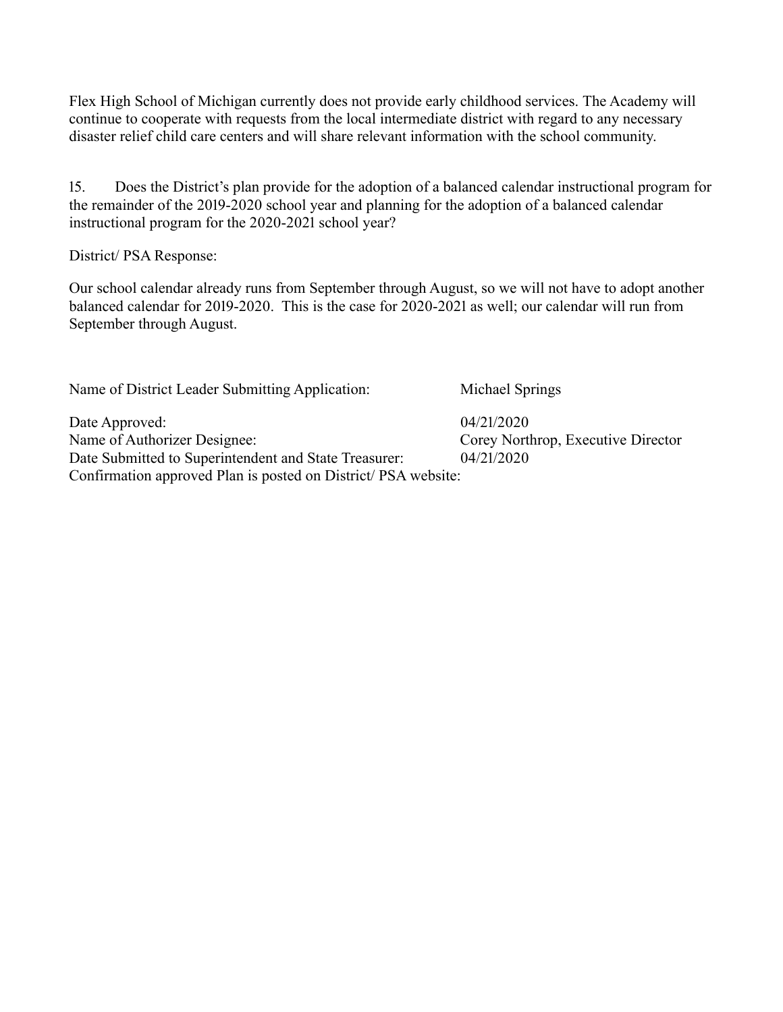Flex High School of Michigan currently does not provide early childhood services. The Academy will continue to cooperate with requests from the local intermediate district with regard to any necessary disaster relief child care centers and will share relevant information with the school community.

15. Does the District's plan provide for the adoption of a balanced calendar instructional program for the remainder of the 2019-2020 school year and planning for the adoption of a balanced calendar instructional program for the  $2020-2021$  school year?

District/ PSA Response:

Our school calendar already runs from September through August, so we will not have to adopt another balanced calendar for 2019-2020. This is the case for 2020-2021 as well; our calendar will run from September through August.

Name of District Leader Submitting Application: Michael Springs

Date Approved:  $04/21/2020$ Name of Authorizer Designee: Corey Northrop, Executive Director Date Submitted to Superintendent and State Treasurer: 04/21/2020 Confirmation approved Plan is posted on District/ PSA website: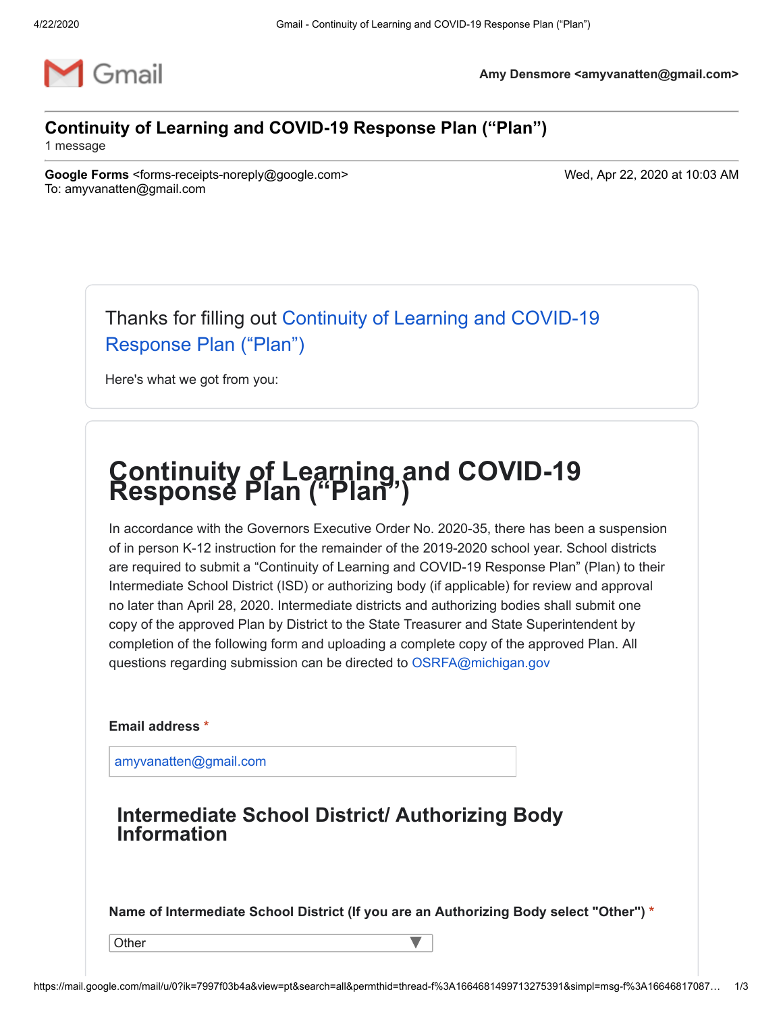

**Amy Densmore <amyvanatten@gmail.com>**

### **Continuity of Learning and COVID-19 Response Plan ("Plan")**

1 message

**Google Forms** <forms-receipts-noreply@google.com> Wed, Apr 22, 2020 at 10:03 AM To: amyvanatten@gmail.com

[Thanks for filling out Continuity of Learning and COVID-19](https://docs.google.com/forms/d/e/1FAIpQLSdU5AH6Z7Zy7AV5b0VPT63G6IK-9vVwWEbqJtmIg1W7oEYLNQ/viewform?pli=1&usp=mail_form_link) Response Plan ("Plan")

Here's what we got from you:

# **Continuity of Learning and COVID-19 Response Plan ("Plan")**

In accordance with the Governors Executive Order No. 2020-35, there has been a suspension of in person K-12 instruction for the remainder of the 2019-2020 school year. School districts are required to submit a "Continuity of Learning and COVID-19 Response Plan" (Plan) to their Intermediate School District (ISD) or authorizing body (if applicable) for review and approval no later than April 28, 2020. Intermediate districts and authorizing bodies shall submit one copy of the approved Plan by District to the State Treasurer and State Superintendent by completion of the following form and uploading a complete copy of the approved Plan. All questions regarding submission can be directed to [OSRFA@michigan.gov](mailto:OSRFA@michigan.gov)

**Email address \***

[amyvanatten@gmail.com](mailto:amyvanatten@gmail.com)

## **Intermediate School District/ Authorizing Body Information**

**Name of Intermediate School District (If you are an Authorizing Body select "Other") \***

**Other** 

 $\blacktriangledown$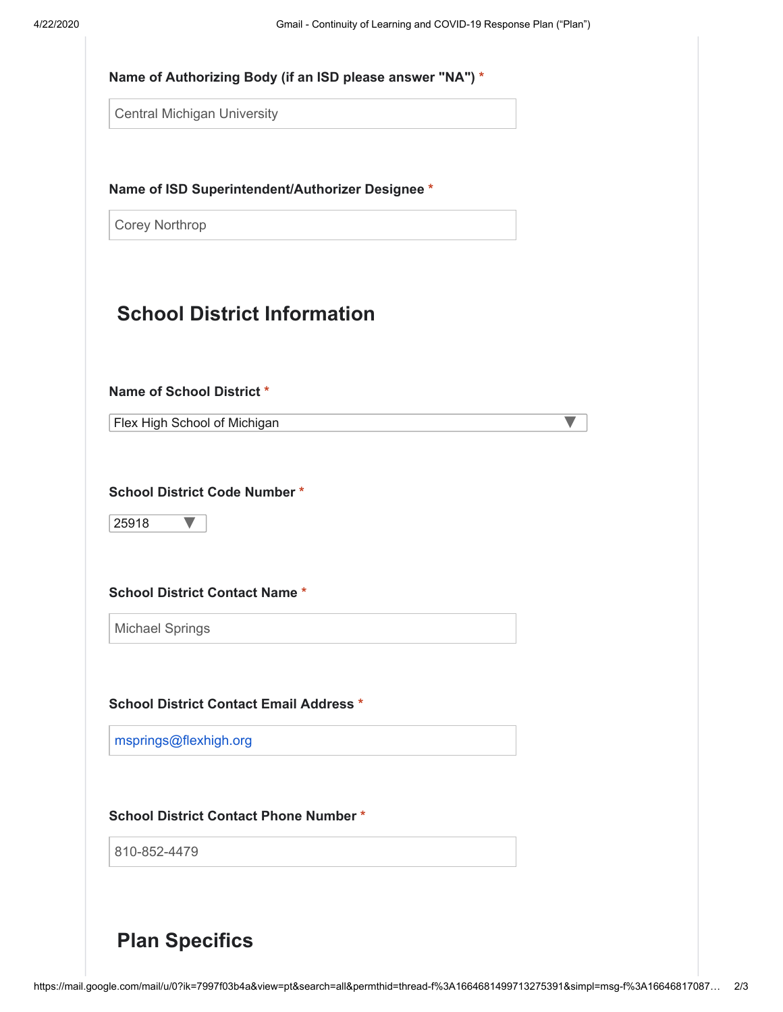| <b>Central Michigan University</b>                                                                                                                       |  |
|----------------------------------------------------------------------------------------------------------------------------------------------------------|--|
| Name of ISD Superintendent/Authorizer Designee *                                                                                                         |  |
| <b>Corey Northrop</b>                                                                                                                                    |  |
| <b>School District Information</b>                                                                                                                       |  |
| Name of School District*                                                                                                                                 |  |
| Flex High School of Michigan                                                                                                                             |  |
| 25918                                                                                                                                                    |  |
| <b>Michael Springs</b>                                                                                                                                   |  |
|                                                                                                                                                          |  |
| <b>School District Code Number *</b><br><b>School District Contact Name *</b><br><b>School District Contact Email Address *</b><br>msprings@flexhigh.org |  |
| <b>School District Contact Phone Number *</b><br>810-852-4479                                                                                            |  |

**Plan Specifics**